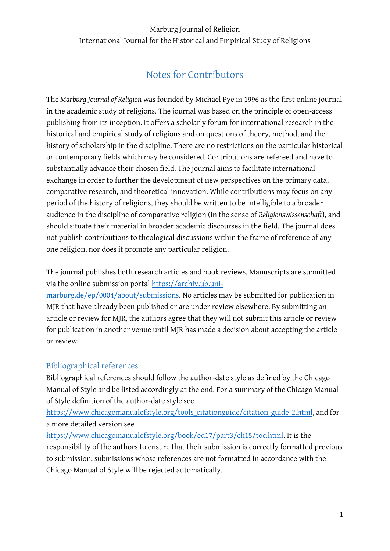# Notes for Contributors

The *Marburg Journal of Religion* was founded by Michael Pye in 1996 as the first online journal in the academic study of religions. The journal was based on the principle of open-access publishing from its inception. It offers a scholarly forum for international research in the historical and empirical study of religions and on questions of theory, method, and the history of scholarship in the discipline. There are no restrictions on the particular historical or contemporary fields which may be considered. Contributions are refereed and have to substantially advance their chosen field. The journal aims to facilitate international exchange in order to further the development of new perspectives on the primary data, comparative research, and theoretical innovation. While contributions may focus on any period of the history of religions, they should be written to be intelligible to a broader audience in the discipline of comparative religion (in the sense of *Religionswissenschaft*), and should situate their material in broader academic discourses in the field. The journal does not publish contributions to theological discussions within the frame of reference of any one religion, nor does it promote any particular religion.

The journal publishes both research articles and book reviews. Manuscripts are submitted via the online submission portal [https://archiv.ub.uni-](https://archiv.ub.uni-marburg.de/ep/0004/about/submissions)

[marburg.de/ep/0004/about/submissions.](https://archiv.ub.uni-marburg.de/ep/0004/about/submissions) No articles may be submitted for publication in MJR that have already been published or are under review elsewhere. By submitting an article or review for MJR, the authors agree that they will not submit this article or review for publication in another venue until MJR has made a decision about accepting the article or review.

# Bibliographical references

Bibliographical references should follow the author-date style as defined by the Chicago Manual of Style and be listed accordingly at the end. For a summary of the Chicago Manual of Style definition of the author-date style see

[https://www.chicagomanualofstyle.org/tools\\_citationguide/citation-guide-2.html,](https://www.chicagomanualofstyle.org/tools_citationguide/citation-guide-2.html) and for a more detailed version see

[https://www.chicagomanualofstyle.org/book/ed17/part3/ch15/toc.html.](https://www.chicagomanualofstyle.org/book/ed17/part3/ch15/toc.html) It is the responsibility of the authors to ensure that their submission is correctly formatted previous to submission; submissions whose references are not formatted in accordance with the Chicago Manual of Style will be rejected automatically.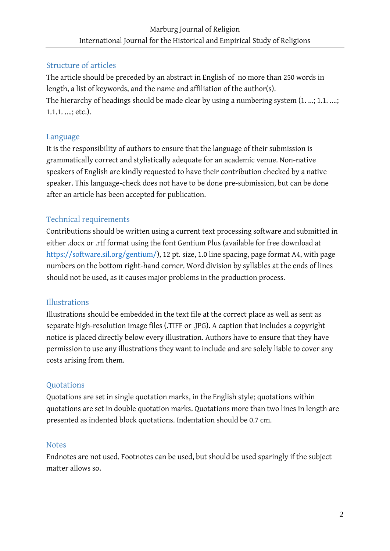# Structure of articles

The article should be preceded by an abstract in English of no more than 250 words in length, a list of keywords, and the name and affiliation of the author(s). The hierarchy of headings should be made clear by using a numbering system  $(1, ..., 1.1, ...,$ 1.1.1. ....; etc.).

#### Language

It is the responsibility of authors to ensure that the language of their submission is grammatically correct and stylistically adequate for an academic venue. Non-native speakers of English are kindly requested to have their contribution checked by a native speaker. This language-check does not have to be done pre-submission, but can be done after an article has been accepted for publication.

# Technical requirements

Contributions should be written using a current text processing software and submitted in either .docx or .rtf format using the font Gentium Plus (available for free download at [https://software.sil.org/gentium/\)](https://software.sil.org/gentium/), 12 pt. size, 1.0 line spacing, page format A4, with page numbers on the bottom right-hand corner. Word division by syllables at the ends of lines should not be used, as it causes major problems in the production process.

# Illustrations

Illustrations should be embedded in the text file at the correct place as well as sent as separate high-resolution image files (.TIFF or .JPG). A caption that includes a copyright notice is placed directly below every illustration. Authors have to ensure that they have permission to use any illustrations they want to include and are solely liable to cover any costs arising from them.

#### **Ouotations**

Quotations are set in single quotation marks, in the English style; quotations within quotations are set in double quotation marks. Quotations more than two lines in length are presented as indented block quotations. Indentation should be 0.7 cm.

#### **Notes**

Endnotes are not used. Footnotes can be used, but should be used sparingly if the subject matter allows so.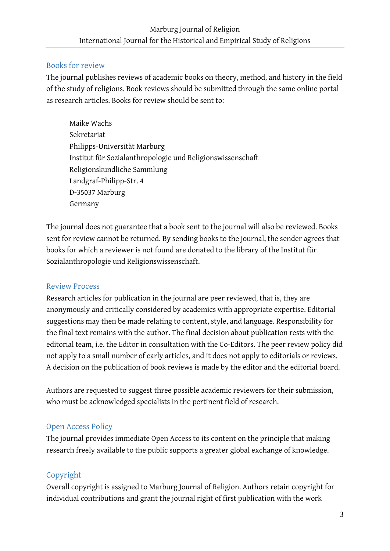#### Books for review

The journal publishes reviews of academic books on theory, method, and history in the field of the study of religions. Book reviews should be submitted through the same online portal as research articles. Books for review should be sent to:

Maike Wachs Sekretariat Philipps-Universität Marburg Institut für Sozialanthropologie und Religionswissenschaft Religionskundliche Sammlung Landgraf-Philipp-Str. 4 D-35037 Marburg Germany

The journal does not guarantee that a book sent to the journal will also be reviewed. Books sent for review cannot be returned. By sending books to the journal, the sender agrees that books for which a reviewer is not found are donated to the library of the Institut für Sozialanthropologie und Religionswissenschaft.

# Review Process

Research articles for publication in the journal are peer reviewed, that is, they are anonymously and critically considered by academics with appropriate expertise. Editorial suggestions may then be made relating to content, style, and language. Responsibility for the final text remains with the author. The final decision about publication rests with the editorial team, i.e. the Editor in consultation with the Co-Editors. The peer review policy did not apply to a small number of early articles, and it does not apply to editorials or reviews. A decision on the publication of book reviews is made by the editor and the editorial board.

Authors are requested to suggest three possible academic reviewers for their submission, who must be acknowledged specialists in the pertinent field of research.

# Open Access Policy

The journal provides immediate Open Access to its content on the principle that making research freely available to the public supports a greater global exchange of knowledge.

# Copyright

Overall copyright is assigned to Marburg Journal of Religion. Authors retain copyright for individual contributions and grant the journal right of first publication with the work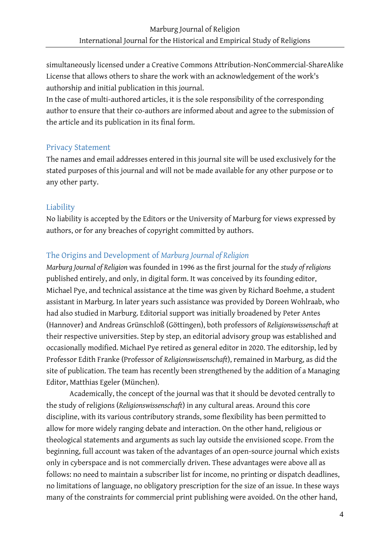simultaneously licensed under a Creative Commons Attribution-NonCommercial-ShareAlike License that allows others to share the work with an acknowledgement of the work's authorship and initial publication in this journal.

In the case of multi-authored articles, it is the sole responsibility of the corresponding author to ensure that their co-authors are informed about and agree to the submission of the article and its publication in its final form.

#### Privacy Statement

The names and email addresses entered in this journal site will be used exclusively for the stated purposes of this journal and will not be made available for any other purpose or to any other party.

#### Liability

No liability is accepted by the Editors or the University of Marburg for views expressed by authors, or for any breaches of copyright committed by authors.

# The Origins and Development of *Marburg Journal of Religion*

*Marburg Journal of Religion* was founded in 1996 as the first journal for the *study of religions* published entirely, and only, in digital form. It was conceived by its founding editor, Michael Pye, and technical assistance at the time was given by Richard Boehme, a student assistant in Marburg. In later years such assistance was provided by Doreen Wohlraab, who had also studied in Marburg. Editorial support was initially broadened by Peter Antes (Hannover) and Andreas Grünschloß (Göttingen), both professors of *Religionswissenschaft* at their respective universities. Step by step, an editorial advisory group was established and occasionally modified. Michael Pye retired as general editor in 2020. The editorship, led by Professor Edith Franke (Professor of *Religionswissenschaft*), remained in Marburg, as did the site of publication. The team has recently been strengthened by the addition of a Managing Editor, Matthias Egeler (München).

Academically, the concept of the journal was that it should be devoted centrally to the study of religions (*Religionswissenschaft*) in any cultural areas. Around this core discipline, with its various contributory strands, some flexibility has been permitted to allow for more widely ranging debate and interaction. On the other hand, religious or theological statements and arguments as such lay outside the envisioned scope. From the beginning, full account was taken of the advantages of an open-source journal which exists only in cyberspace and is not commercially driven. These advantages were above all as follows: no need to maintain a subscriber list for income, no printing or dispatch deadlines, no limitations of language, no obligatory prescription for the size of an issue. In these ways many of the constraints for commercial print publishing were avoided. On the other hand,